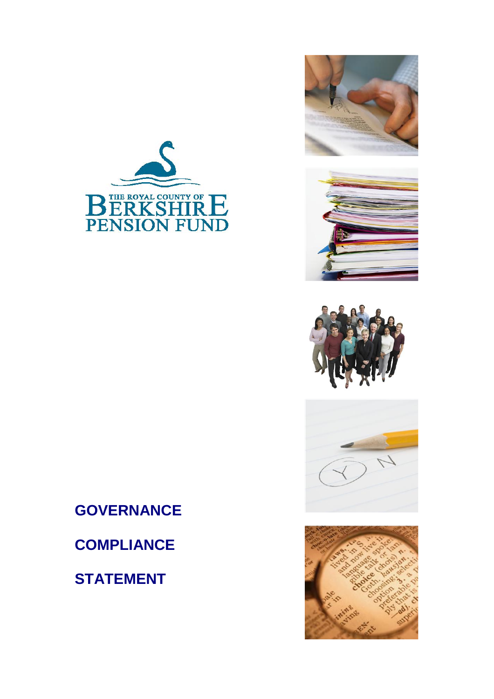











**GOVERNANCE**

# **COMPLIANCE**

**STATEMENT**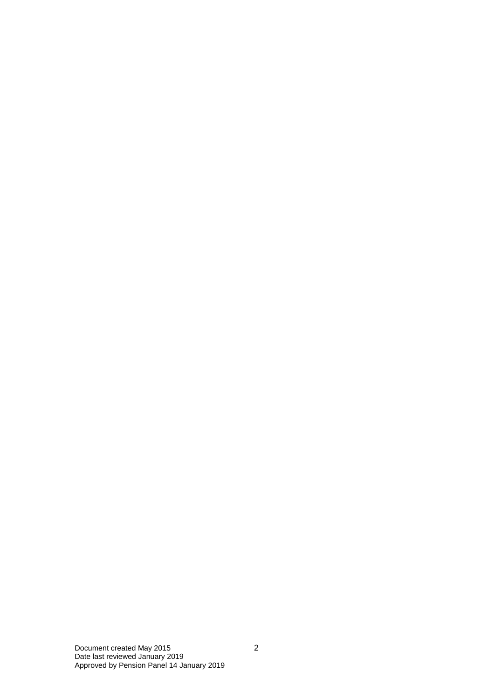Document created May 2015 Date last reviewed January 2019 Approved by Pension Panel 14 January 2019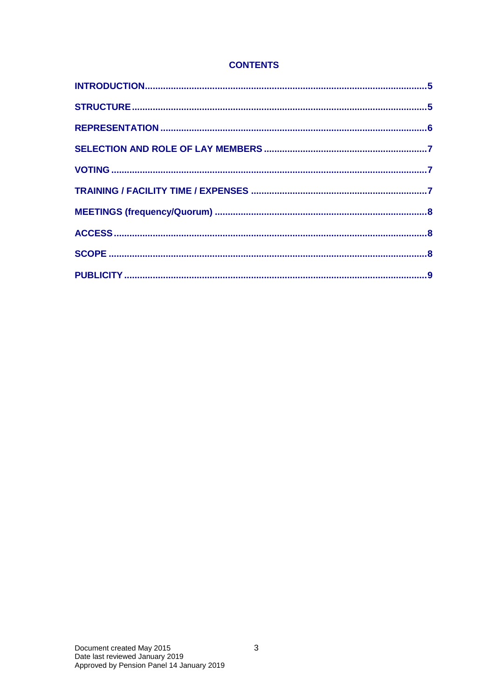# **CONTENTS**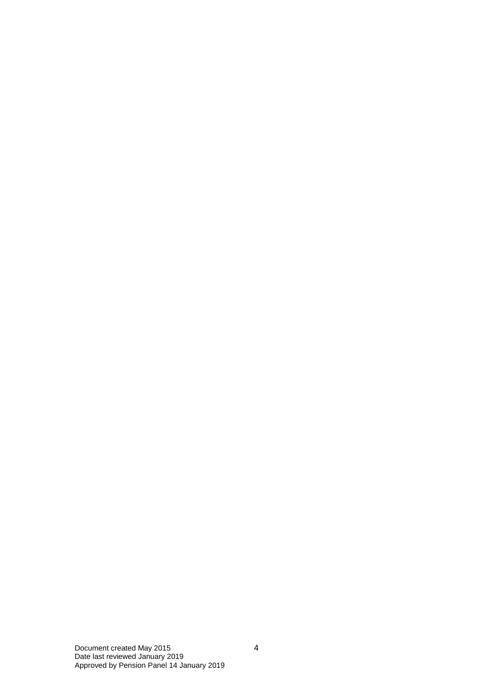Document created May 2015 Date last reviewed January 2019 Approved by Pension Panel 14 January 2019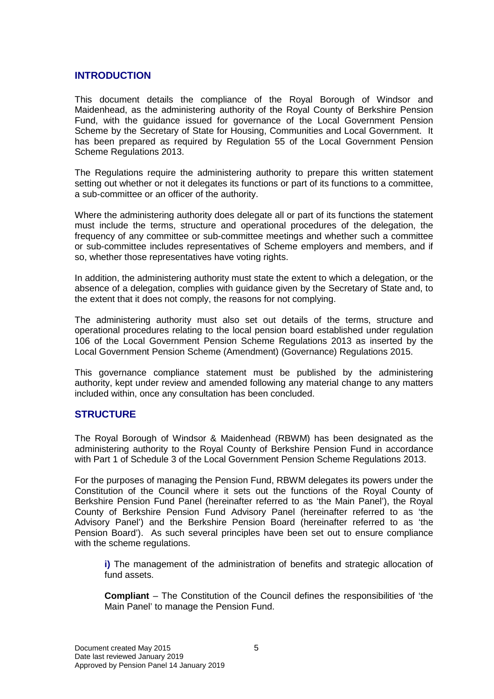# **INTRODUCTION**

This document details the compliance of the Royal Borough of Windsor and Maidenhead, as the administering authority of the Royal County of Berkshire Pension Fund, with the guidance issued for governance of the Local Government Pension Scheme by the Secretary of State for Housing, Communities and Local Government. It has been prepared as required by Requiation 55 of the Local Government Pension Scheme Regulations 2013.

The Regulations require the administering authority to prepare this written statement setting out whether or not it delegates its functions or part of its functions to a committee, a sub-committee or an officer of the authority.

Where the administering authority does delegate all or part of its functions the statement must include the terms, structure and operational procedures of the delegation, the frequency of any committee or sub-committee meetings and whether such a committee or sub-committee includes representatives of Scheme employers and members, and if so, whether those representatives have voting rights.

In addition, the administering authority must state the extent to which a delegation, or the absence of a delegation, complies with guidance given by the Secretary of State and, to the extent that it does not comply, the reasons for not complying.

The administering authority must also set out details of the terms, structure and operational procedures relating to the local pension board established under regulation 106 of the Local Government Pension Scheme Regulations 2013 as inserted by the Local Government Pension Scheme (Amendment) (Governance) Regulations 2015.

This governance compliance statement must be published by the administering authority, kept under review and amended following any material change to any matters included within, once any consultation has been concluded.

### **STRUCTURE**

The Royal Borough of Windsor & Maidenhead (RBWM) has been designated as the administering authority to the Royal County of Berkshire Pension Fund in accordance with Part 1 of Schedule 3 of the Local Government Pension Scheme Regulations 2013.

For the purposes of managing the Pension Fund, RBWM delegates its powers under the Constitution of the Council where it sets out the functions of the Royal County of Berkshire Pension Fund Panel (hereinafter referred to as 'the Main Panel'), the Royal County of Berkshire Pension Fund Advisory Panel (hereinafter referred to as 'the Advisory Panel') and the Berkshire Pension Board (hereinafter referred to as 'the Pension Board'). As such several principles have been set out to ensure compliance with the scheme regulations.

**i)** The management of the administration of benefits and strategic allocation of fund assets.

**Compliant** – The Constitution of the Council defines the responsibilities of 'the Main Panel' to manage the Pension Fund.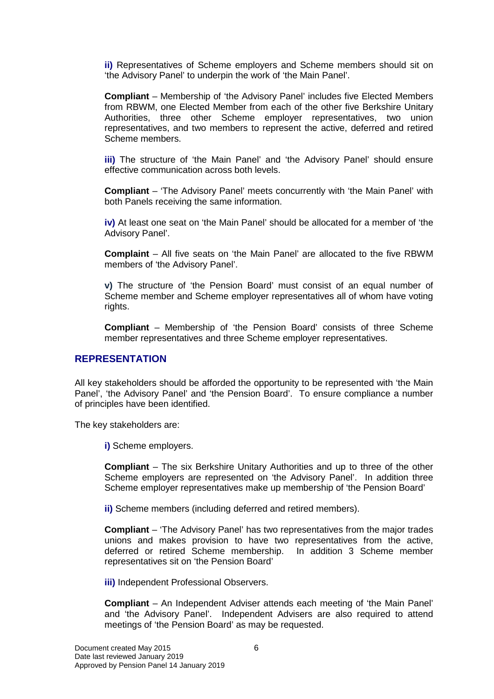**ii)** Representatives of Scheme employers and Scheme members should sit on 'the Advisory Panel' to underpin the work of 'the Main Panel'.

**Compliant** – Membership of 'the Advisory Panel' includes five Elected Members from RBWM, one Elected Member from each of the other five Berkshire Unitary Authorities, three other Scheme employer representatives, two union representatives, and two members to represent the active, deferred and retired Scheme members.

**iii)** The structure of 'the Main Panel' and 'the Advisory Panel' should ensure effective communication across both levels.

**Compliant** – 'The Advisory Panel' meets concurrently with 'the Main Panel' with both Panels receiving the same information.

**iv)** At least one seat on 'the Main Panel' should be allocated for a member of 'the Advisory Panel'.

**Complaint** – All five seats on 'the Main Panel' are allocated to the five RBWM members of 'the Advisory Panel'.

**v)** The structure of 'the Pension Board' must consist of an equal number of Scheme member and Scheme employer representatives all of whom have voting rights.

**Compliant** – Membership of 'the Pension Board' consists of three Scheme member representatives and three Scheme employer representatives.

# **REPRESENTATION**

All key stakeholders should be afforded the opportunity to be represented with 'the Main Panel', 'the Advisory Panel' and 'the Pension Board'. To ensure compliance a number of principles have been identified.

The key stakeholders are:

**i)** Scheme employers.

**Compliant** – The six Berkshire Unitary Authorities and up to three of the other Scheme employers are represented on 'the Advisory Panel'. In addition three Scheme employer representatives make up membership of 'the Pension Board'

**ii)** Scheme members (including deferred and retired members).

**Compliant** – 'The Advisory Panel' has two representatives from the major trades unions and makes provision to have two representatives from the active, deferred or retired Scheme membership. In addition 3 Scheme member representatives sit on 'the Pension Board'

**iii)** Independent Professional Observers.

**Compliant** – An Independent Adviser attends each meeting of 'the Main Panel' and 'the Advisory Panel'. Independent Advisers are also required to attend meetings of 'the Pension Board' as may be requested.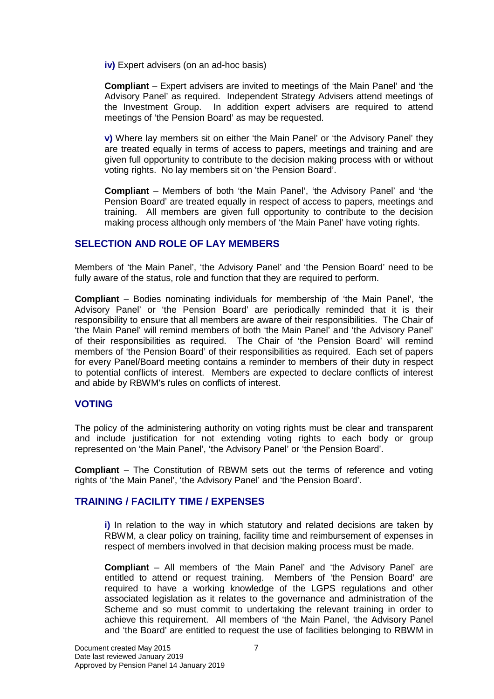**iv)** Expert advisers (on an ad-hoc basis)

**Compliant** – Expert advisers are invited to meetings of 'the Main Panel' and 'the Advisory Panel' as required. Independent Strategy Advisers attend meetings of the Investment Group. In addition expert advisers are required to attend meetings of 'the Pension Board' as may be requested.

**v)** Where lay members sit on either 'the Main Panel' or 'the Advisory Panel' they are treated equally in terms of access to papers, meetings and training and are given full opportunity to contribute to the decision making process with or without voting rights. No lay members sit on 'the Pension Board'.

**Compliant** – Members of both 'the Main Panel', 'the Advisory Panel' and 'the Pension Board' are treated equally in respect of access to papers, meetings and training. All members are given full opportunity to contribute to the decision making process although only members of 'the Main Panel' have voting rights.

### **SELECTION AND ROLE OF LAY MEMBERS**

Members of 'the Main Panel', 'the Advisory Panel' and 'the Pension Board' need to be fully aware of the status, role and function that they are required to perform.

**Compliant** – Bodies nominating individuals for membership of 'the Main Panel', 'the Advisory Panel' or 'the Pension Board' are periodically reminded that it is their responsibility to ensure that all members are aware of their responsibilities. The Chair of 'the Main Panel' will remind members of both 'the Main Panel' and 'the Advisory Panel' of their responsibilities as required. The Chair of 'the Pension Board' will remind members of 'the Pension Board' of their responsibilities as required. Each set of papers for every Panel/Board meeting contains a reminder to members of their duty in respect to potential conflicts of interest. Members are expected to declare conflicts of interest and abide by RBWM's rules on conflicts of interest.

### **VOTING**

The policy of the administering authority on voting rights must be clear and transparent and include justification for not extending voting rights to each body or group represented on 'the Main Panel', 'the Advisory Panel' or 'the Pension Board'.

**Compliant** – The Constitution of RBWM sets out the terms of reference and voting rights of 'the Main Panel', 'the Advisory Panel' and 'the Pension Board'.

### **TRAINING / FACILITY TIME / EXPENSES**

**i)** In relation to the way in which statutory and related decisions are taken by RBWM, a clear policy on training, facility time and reimbursement of expenses in respect of members involved in that decision making process must be made.

**Compliant** – All members of 'the Main Panel' and 'the Advisory Panel' are entitled to attend or request training. Members of 'the Pension Board' are required to have a working knowledge of the LGPS regulations and other associated legislation as it relates to the governance and administration of the Scheme and so must commit to undertaking the relevant training in order to achieve this requirement. All members of 'the Main Panel, 'the Advisory Panel and 'the Board' are entitled to request the use of facilities belonging to RBWM in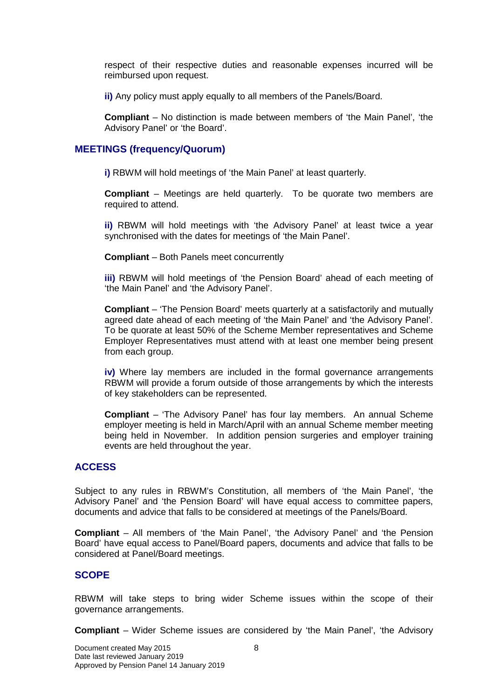respect of their respective duties and reasonable expenses incurred will be reimbursed upon request.

**ii)** Any policy must apply equally to all members of the Panels/Board.

**Compliant** – No distinction is made between members of 'the Main Panel', 'the Advisory Panel' or 'the Board'.

#### **MEETINGS (frequency/Quorum)**

**i)** RBWM will hold meetings of 'the Main Panel' at least quarterly.

**Compliant** – Meetings are held quarterly. To be quorate two members are required to attend.

**ii)** RBWM will hold meetings with 'the Advisory Panel' at least twice a year synchronised with the dates for meetings of 'the Main Panel'.

**Compliant** – Both Panels meet concurrently

**iii)** RBWM will hold meetings of 'the Pension Board' ahead of each meeting of 'the Main Panel' and 'the Advisory Panel'.

**Compliant** – 'The Pension Board' meets quarterly at a satisfactorily and mutually agreed date ahead of each meeting of 'the Main Panel' and 'the Advisory Panel'. To be quorate at least 50% of the Scheme Member representatives and Scheme Employer Representatives must attend with at least one member being present from each group.

**iv)** Where lay members are included in the formal governance arrangements RBWM will provide a forum outside of those arrangements by which the interests of key stakeholders can be represented.

**Compliant** – 'The Advisory Panel' has four lay members. An annual Scheme employer meeting is held in March/April with an annual Scheme member meeting being held in November. In addition pension surgeries and employer training events are held throughout the year.

### **ACCESS**

Subject to any rules in RBWM's Constitution, all members of 'the Main Panel', 'the Advisory Panel' and 'the Pension Board' will have equal access to committee papers, documents and advice that falls to be considered at meetings of the Panels/Board.

**Compliant** – All members of 'the Main Panel', 'the Advisory Panel' and 'the Pension Board' have equal access to Panel/Board papers, documents and advice that falls to be considered at Panel/Board meetings.

#### **SCOPE**

RBWM will take steps to bring wider Scheme issues within the scope of their governance arrangements.

**Compliant** – Wider Scheme issues are considered by 'the Main Panel', 'the Advisory